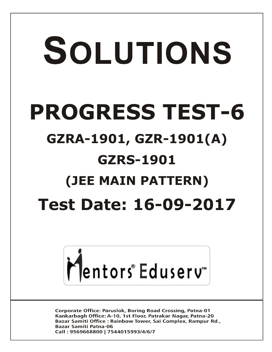# SOLUTIONS **PROGRESS TEST-6 GZRA-1901, GZR-1901(A) GZRS-1901 (JEE MAIN PATTERN) Test Date: 16-09-2017**



**Corporate Office: Paruslok, Boring Road Crossing, Patna-01** Kankarbagh Office: A-10, 1st Floor, Patrakar Nagar, Patna-20 Bazar Samiti Office: Rainbow Tower, Sai Complex, Rampur Rd., **Bazar Samiti Patna-06** Call: 9569668800 | 7544015993/4/6/7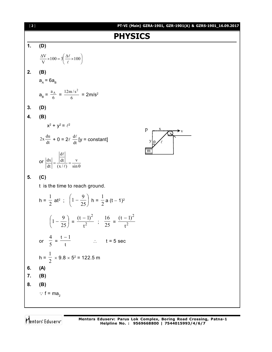| $[2]$ | PT-VI (Main) GZRA-1901, GZR-1901(A) & GZRS-1901_16.09.2017                                                                       |
|-------|----------------------------------------------------------------------------------------------------------------------------------|
|       | <b>PHYSICS</b>                                                                                                                   |
| 1.    | (D)                                                                                                                              |
|       | $\frac{\Delta V}{V} \times 100 = 3 \left( \frac{\Delta \ell}{\ell} \times 100 \right)$                                           |
| 2.    | (B)                                                                                                                              |
|       | $a_{\rm A} = 6a_{\rm B}$                                                                                                         |
|       | $a_B = \frac{a_A}{6} = \frac{12m/s^2}{6} = 2m/s^2$                                                                               |
| 3.    | (D)                                                                                                                              |
| 4.    | (B)                                                                                                                              |
|       | $x^2 + y^2 = \ell^2$                                                                                                             |
|       | $2x \frac{du}{dt} + 0 = 2\ell \frac{d\ell}{dt}$ [y = constant]<br>$\overline{y}$                                                 |
|       | m<br>or $\left  \frac{dx}{dt} \right  = \frac{\left  \frac{d\ell}{dt} \right }{\left( x / \ell \right)} = \frac{v}{\sin \theta}$ |
| 5.    | (C)                                                                                                                              |
|       | t is the time to reach ground.                                                                                                   |
|       | h = $\frac{1}{2}$ at <sup>2</sup> ; $\left(1 - \frac{9}{25}\right)$ h = $\frac{1}{2}$ a $(t - 1)^2$                              |
|       | $\left(1-\frac{9}{25}\right) = \frac{(t-1)^2}{t^2}$ ; $\frac{16}{25} = \frac{(t-1)^2}{t^2}$                                      |
|       | or $\frac{4}{5} = \frac{t-1}{t}$<br>$\therefore$ t = 5 sec                                                                       |
|       | h = $\frac{1}{2}$ × 9.8 × 5 <sup>2</sup> = 122.5 m                                                                               |
| 6.    | (A)                                                                                                                              |
| 7.    | (B)                                                                                                                              |
| 8.    | (B)                                                                                                                              |
|       | $\therefore$ f = ma <sub>2</sub>                                                                                                 |
|       |                                                                                                                                  |

Mentors<sup>e</sup> Eduserv<sup>-</sup>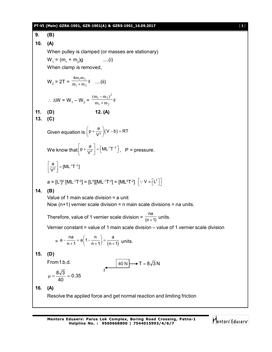### **PT-VI (Main) GZRA-1901, GZR-1901(A) & GZRS-1901\_16.09.2017** [ **3** ]

**9. (B) 10. (A)** When pulley is clamped (or masses are stationary)  $W_1 = (m_1 + m_2)$  $\ldots$ (i) When clamp is removed,  $W_2 = 2T = \frac{m_1 m_2}{m_1 + m_2} g$  $4m_1m$  $1 + m_2$  $1^{\text{III}}2$  $\frac{1}{1+m_2}$ g ....(ii) ∴ ∆W = W<sub>1</sub> – W<sub>2</sub> =  $\frac{\text{m}_1 - \text{m}_2}{\text{m}_1 + \text{m}_2}$  g  $(m_1 - m_2)$  $1 + m_2$  $(-m_2)^2$  $^{+}$  $\overline{\phantom{0}}$ **11. (D) 12. (A) 13. (C)** Given equation is  $\left(p + \frac{a}{V^2}\right)(V - b) = RT$  $\left(p+\frac{a}{V^2}\right)(V-b)=F$ We know that  $p + \frac{a}{\sqrt{2}} = \lfloor M L^{-1} T^{-2} \rfloor$  $\left[p + \frac{a}{V^2}\right] = \left[ML^{-1}T^{-2}\right]$ , P = pressure.  $\frac{1}{2}$  = [ML<sup>-1</sup>T<sup>-2</sup>  $\left[\frac{a}{V^2}\right]$  = [ML<sup>-1</sup>T<sup>-2</sup>]  $\left\lfloor \frac{a}{V^2} \right\rfloor = [ML^{-1}T^{-2}]$  $a = [L^3]^2 [ML^{-1}T^{-2}] = [L^6][ML^{-1}T^{-2}] = [ML^5T^{-2}] \left[ \because V \equiv \left[ L^3 \right] \right]$ **14. (B)** Value of 1 main scale division = a unit Now  $(n+1)$  vernier scale division = n main scale divisions = na units. Therefore, value of 1 vernier scale division =  $\frac{na}{(n+1)}$  $\frac{1}{(n+1)}$  units. Vernier constant = value of 1 main scale division – value of 1 vernier scale division  $= a - \frac{1}{n+1} = a(1 - \frac{1}{n+1}) = \frac{1}{(n+1)}$  $a - \frac{na}{n+1} = a\left(1 - \frac{n}{n+1}\right) = \frac{a}{(n+1)}$  $-\frac{na}{n+1} = a\left(1 - \frac{n}{n+1}\right) = \frac{a}{(n+1)}$  units. **15. (D)** From f.b.d.  $\begin{vmatrix} 40 \text{ N} \end{vmatrix} \rightarrow T = 8\sqrt{3} \text{ N}$ f  $\frac{8\sqrt{3}}{12} \approx 0.35$ 40  $\mu = \frac{646}{10} \approx$ **16. (A)** Resolve the applied force and get normal reaction and limiting friction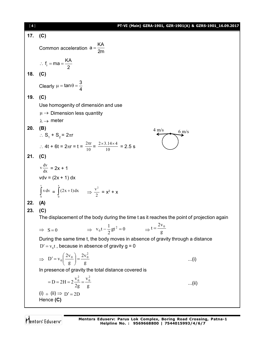[ **4** ] **PT-VI (Main) GZRA-1901, GZR-1901(A) & GZRS-1901\_16.09.2017 17. (C)** Common acceleration  $a = \frac{KA}{a}$ 2m  $=$  $f_r = ma = \frac{KA}{2}$ 2  $\therefore$  f<sub>r</sub> = ma = = **18. (C)** Clearly  $\tan \theta = \frac{3}{4}$ 4  $\mu = \tan \theta = -$ **19. (C)** Use homogenity of dimensión and use  $\mu \rightarrow$  Dimension less quantity  $\lambda \rightarrow$  meter **20. (B)** ∴  $S_1 + S_2 = 2\pi r$  $\frac{4 \text{ m/s}}{6 \text{ m/s}}$  6 m/s ∴ 4t + 6t =  $2\pi r = t = \frac{2\pi r}{10} = \frac{2 \times 3.14 \times 4}{10} = 2.5$  s **21. (C)** dx  $v \frac{dv}{dx} = 2x + 1$  $vdv = (2x + 1) dx$ j v  $\int_{0}^{x} v dv = \int_{0}^{x} (2x +$ x 0  $(2x+1)dx$   $\Rightarrow \frac{v}{2}$  $\frac{v^2}{2} = x^2 + x$ **22. (A) 23. (C)** The displacement of the body during the time t as it reaches the point of projection again  $\Rightarrow$  S = 0  $\Rightarrow$   $v_0 t - \frac{1}{2}gt^2 = 0$  $v_0 t - \frac{1}{2}gt^2 = 0$   $\Rightarrow t = \frac{2v}{g}$  $t = \frac{2v_0}{\sqrt{2}}$ During the same time t, the body moves in absence of gravity through a distance  ${\rm D}^\prime={\rm v}_0{\rm t}$  , because in absence of gravity g = 0  $\Rightarrow$  D'=v<sub>0</sub> $\left(\frac{0}{g}\right)$ = $\frac{0}{g}$  $2v$ g  $D' = v_0 \left( \frac{2v}{v_0} \right)$  $\left(\frac{2v_0}{g}\right) = \frac{2v_0^2}{g}$ J  $\overline{\phantom{a}}$  $\overline{\phantom{a}}$  $\setminus$  $v' = v_0 \left( \frac{2v_0}{v} \right) = \frac{2v_0^2}{v}$  ...(i) In presence of gravity the total distance covered is g v 2g  $D = 2H = 2\frac{V}{2}$  $= D = 2H = 2\frac{v_0^2}{2g} = \frac{v_0^2}{g}$  ...(ii)  $(i) \div (ii) \Rightarrow D' = 2D$ Hence **(C)**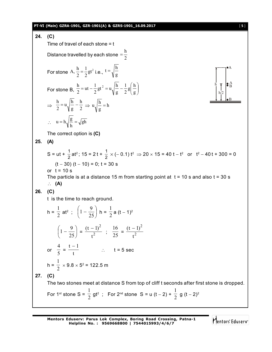|     | PT-VI (Main) GZRA-1901, GZR-1901(A) & GZRS-1901_16.09.2017                                                                                                                                                                           | [5] |
|-----|--------------------------------------------------------------------------------------------------------------------------------------------------------------------------------------------------------------------------------------|-----|
| 24. | (C)                                                                                                                                                                                                                                  |     |
|     | Time of travel of each stone $=$ t                                                                                                                                                                                                   |     |
|     | Distance travelled by each stone $=$ $\frac{h}{2}$                                                                                                                                                                                   |     |
|     | For stone A, $\frac{h}{2} = \frac{1}{2}gt^2$ i.e., $t = \sqrt{\frac{h}{g}}$                                                                                                                                                          |     |
|     | $\begin{array}{c}\n\begin{array}{c}\n\downarrow \\ \downarrow \\ \downarrow\n\end{array} \\ \uparrow\n\end{array}$<br>For stone B, $\frac{h}{2} = ut - \frac{1}{2}gt^2 = u\sqrt{\frac{h}{g}} - \frac{1}{2}g\left(\frac{h}{g}\right)$ |     |
|     | $\Rightarrow \frac{h}{2} = u \sqrt{\frac{h}{g}} - \frac{h}{2} \Rightarrow u \sqrt{\frac{h}{g}} = h$                                                                                                                                  |     |
|     | $\therefore$ u = h $\sqrt{\frac{g}{h}} = \sqrt{gh}$                                                                                                                                                                                  |     |
|     | The correct option is $(C)$                                                                                                                                                                                                          |     |
| 25. | (A)                                                                                                                                                                                                                                  |     |
|     | S = ut + $\frac{1}{2}$ at <sup>2</sup> ; 15 = 2 t + $\frac{1}{2}$ × (- 0.1) t <sup>2</sup> $\Rightarrow$ 20 × 15 = 40 t - t <sup>2</sup> or t <sup>2</sup> - 40 t + 300 = 0                                                          |     |
|     | $(t - 30)$ $(t - 10) = 0$ ; $t = 30$ s                                                                                                                                                                                               |     |
|     | or $t = 10$ s<br>The particle is at a distance 15 m from starting point at $t = 10$ s and also $t = 30$ s<br>$\therefore$ (A)                                                                                                        |     |
| 26. | (C)                                                                                                                                                                                                                                  |     |
|     | t is the time to reach ground.                                                                                                                                                                                                       |     |
|     | h = $\frac{1}{2}$ at <sup>2</sup> ; $\left(1 - \frac{9}{25}\right)$ h = $\frac{1}{2}$ a $(t - 1)^2$                                                                                                                                  |     |
|     | $\left(1-\frac{9}{25}\right) = \frac{(t-1)^2}{1^2}$ ; $\frac{16}{25} = \frac{(t-1)^2}{1^2}$                                                                                                                                          |     |
|     | or $\frac{4}{5} = \frac{t-1}{t}$ : $t = 5 \text{ sec}$                                                                                                                                                                               |     |
|     | h = $\frac{1}{2}$ × 9.8 × 5 <sup>2</sup> = 122.5 m                                                                                                                                                                                   |     |
| 27. | (C)                                                                                                                                                                                                                                  |     |
|     | The two stones meet at distance S from top of cliff t seconds after first stone is dropped.                                                                                                                                          |     |
|     | For 1 <sup>st</sup> stone S = $\frac{1}{2}$ gt <sup>2</sup> ; For 2 <sup>nd</sup> stone S = u (t - 2) + $\frac{1}{2}$ g (t - 2) <sup>2</sup>                                                                                         |     |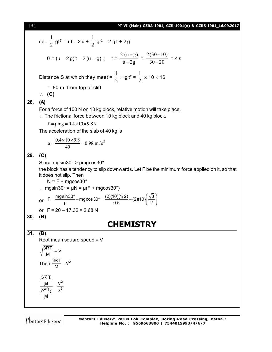

i.e.  $\overline{2}$ 1  $gt^2 = ut - 2 u + \frac{1}{2}$ 1 gt<sup>2</sup> – 2 g t + 2 g 0 = (u - 2 g) t - 2 (u - g) ; t =  $\frac{u}{u-2g}$  $2(u-g)$ -- $=\frac{30-20}{ }$  $2(30 - 10)$ -- $= 4 s$ Distance S at which they meet =  $\frac{1}{2}$ 1  $\times$  g t<sup>2</sup> =  $\frac{1}{2}$ 1  $\times$  10  $\times$  16 = 80 m from top of cliff **(C) 28. (A)** For a force of 100 N on 10 kg block, relative motion will take place.  $\therefore$  The frictional force between 10 kg block and 40 kg block,  $f = \mu mg = 0.4 \times 10 \times 9.8N$ The acceleration of the slab of 40 kg is  $0.98 \text{ m/s}^2$ 40  $a = \frac{0.4 \times 10 \times 9.8}{10}$ **29. (C)** Since mgsin30° > µmgcos30° the block has a tendency to slip downwards. Let F be the minimum force applied on it, so that it does not slip. Then  $N = F + mqcos30^\circ$  $\therefore$  mgsin30° =  $\mu$ N =  $\mu$ (F + mgcos30°) or  $F = \frac{mg\sin 30^{\circ}}{\mu} - mg\cos 30^{\circ} = \frac{(2)(10)(1/2)}{0.5} - (2)(10)\left(\frac{\sqrt{3}}{2}\right)$  $=\frac{mg\sin 30^{\circ}}{\mu} - mg\cos 30^{\circ} = \frac{(2)(10)(1/2)}{0.5} - (2)(10)\left(\frac{\sqrt{3}}{2}\right)$ or  $F = 20 - 17.32 = 2.68$  N **30. (B) CHEMISTRY 31. (B)** Root mean square speed = V  $\frac{3RT}{M}$  = V Then  $\frac{3RT}{M} = V^2$ 3R T<sub>1</sub> M 3 $R$ T $_2$ M 2 2 V x  $=$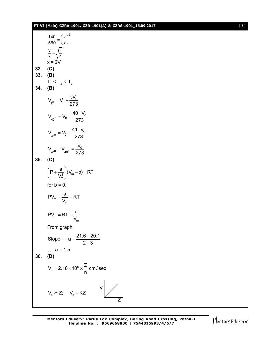|     | PT-VI (Main) GZRA-1901, GZR-1901(A) & GZRS-1901_16.09.2017 | $[7]$ |
|-----|------------------------------------------------------------|-------|
|     | $\frac{140}{560} = \left(\frac{v}{x}\right)^2$             |       |
|     | $\frac{v}{x} = \sqrt{\frac{1}{4}}$                         |       |
|     | $x = 2V$                                                   |       |
| 32. | (C)                                                        |       |
| 33. | (B)                                                        |       |
| 34. | $T_1 < T_2 < T_3$<br>(B)                                   |       |
|     | $V_{t^0} = V_0 + \frac{tV_0}{273}$                         |       |
|     | $V_{40^{\circ}} = V_0 + \frac{40 V_0}{273}$                |       |
|     | $V_{41^{\circ}} = V_0 + \frac{41 V_0}{273}$                |       |
|     | $V_{41^0} - V_{40^0} = \frac{V_0}{273}$                    |       |
| 35. | (C)                                                        |       |
|     | $\left(P+\frac{a}{V_m^2}\right)(V_m-b)=RT$                 |       |
|     | for $b = 0$ ,                                              |       |
|     | $PV_m + \frac{a}{V_m} = RT$                                |       |
|     | $PV_m = RT - \frac{a}{V_m}$                                |       |
|     | From graph,                                                |       |
|     | Slope = $-a = \frac{21.6 - 20.1}{2 - 3}$                   |       |
| 36. | $\therefore$ a = 1.5<br>(D)                                |       |
|     | $V_n = 2.18 \times 10^8 \times \frac{Z}{n}$ cm/sec         |       |
|     | $V_n \propto Z$ ; $V_n = KZ$<br>$V \mid \diagup$           |       |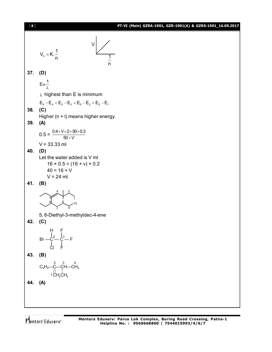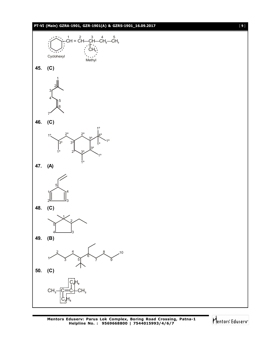# **PT-VI (Main) GZRA-1901, GZR-1901(A) & GZRS-1901\_16.09.2017** [ **9** ]



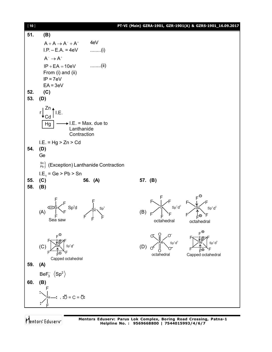[ **10** ] **PT-VI (Main) GZRA-1901, GZR-1901(A) & GZRS-1901\_16.09.2017 51. (B)**  $A + A \rightarrow A^- + A^+$  4eV  $I.P. - E.A. = 4eV$  ........(i)  $A^- \rightarrow A^+$  $IP + EA = 10eV$  ........(ii) From (i) and (ii)  $IP = 7eV$  $EA = 3eV$ **52. (C) 53. (D)** Zn <sub>↑</sub> Cd  $Hg$   $\longrightarrow$  I.E. = Max. due to Lanthanide **Contraction**  $r \left| \begin{array}{c} 2 \end{array} \right|$ . [I.E.  $I.E. = Hg > Zn > Cd$ **54. (D)** Ge  $P_{\text{Pb}}^{Sn}$  (Exception) Lanthanide Contraction  $LE_1 = Ge$  > Pb > Sn **55. (C) 56. (A) 57. (B) 58. (B)** (A)  $Sp^3d$ Sea saw F F F F F F S  $\searrow$  Sp<sup>3</sup> F F (B) octahedral F F  $S \left( \text{Sp}^3 d^2 \right)$  $F \setminus$   $\neq$   $F$ F F octahedral  $\overline{\mathsf{P}}$  $\sin s_p^3 d^2$  $F \setminus \downarrow \nearrow F$ F F (C) Capped octahedral F EO F Sé i sp<sup>3</sup> Fs:::tøæF F F (D) octahedral O O Xe O <sup>O</sup> <sup>O</sup> <sup>O</sup>  $\mathsf{Sp}^3$ d 2 Capped octahedral F F^`````\_`\_`O`\F  $\mathsf{Te}$   $\mid$  Sp<sup>3</sup> From to *From* F F d 3 **59. (A)** BeF $_3^ \langle$ Sp<sup>2</sup> **60. (B)** Xe F F  $-$ ;  $\ddot{O} = C = \ddot{O}$ ;

Mentors Eduserv

**Mentors Eduserv: Parus Lok Complex, Boring Road Crossing, Patna-1 Helpline No. : 9569668800 | 7544015993/4/6/7**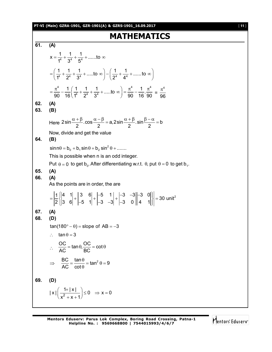# **PT-VI (Main) GZRA-1901, GZR-1901(A) & GZRS-1901\_16.09.2017** [ **11** ]

# **MATHEMATICS**

| 61.        | (A)                                                                                                                                                                                                                                                                                                |
|------------|----------------------------------------------------------------------------------------------------------------------------------------------------------------------------------------------------------------------------------------------------------------------------------------------------|
|            | $X = \frac{1}{1^4} + \frac{1}{3^4} + \frac{1}{5^4} + \dots$ to $\infty$                                                                                                                                                                                                                            |
|            | $=\left(\frac{1}{4^4}+\frac{1}{2^4}+\frac{1}{3^4}+\dots 10\infty\right)-\left(\frac{1}{2^4}+\frac{1}{4^4}+\dots 10\infty\right)$                                                                                                                                                                   |
|            | $=\frac{\pi^4}{90}-\frac{1}{16}\left(\frac{1}{1^4}+\frac{1}{2^4}+\frac{1}{3^4}+\dots 0\right) = \frac{\pi^4}{90}-\frac{1}{16}\cdot\frac{\pi^4}{90} = \frac{\pi^4}{96}$                                                                                                                             |
| 62.<br>63. | (A)<br>(B)                                                                                                                                                                                                                                                                                         |
|            | Here $2\sin\frac{\alpha+\beta}{2} \cdot \cos\frac{\alpha-\beta}{2} = a$ , $2\sin\frac{\alpha+\beta}{2} \cdot \sin\frac{\beta-\alpha}{2} = b$                                                                                                                                                       |
| 64.        | Now, divide and get the value<br>(B)                                                                                                                                                                                                                                                               |
| 65.<br>66. | $\sin n\theta = b_0 + b_1 \sin \theta + b_2 \sin^2 \theta + \dots$<br>This is possible when n is an odd integer.<br>Put $\theta = 0$ to get b <sub>0</sub> . After differentiating w.r.t. $\theta$ , put $\theta = 0$ to get b <sub>1</sub> .<br>(A)<br>(A)<br>As the points are in order, the are |
|            | $=\frac{ 1 }{2}\begin{vmatrix}4 & 1 \\ 3 & 6\end{vmatrix} + \begin{vmatrix}3 & 6 \\ -5 & 1\end{vmatrix} + \begin{vmatrix}-5 & 1 \\ -3 & -3\end{vmatrix} + \begin{vmatrix}-3 & -3 \\ -3 & 0\end{vmatrix} + \begin{vmatrix}-3 & 0 \\ 4 & 1\end{vmatrix} = 30$ unit <sup>2</sup>                      |
| 67.<br>68. | (A)<br>(D)<br>$tan(180^\circ - \theta) = slope of AB = -3$<br>$\tan \theta = 3$<br>$\ddot{\cdot}$ .<br>$\therefore \quad \frac{OC}{AC} = \tan \theta, \frac{OC}{BC} = \cot \theta$<br>$\Rightarrow \frac{BC}{AC} = \frac{\tan \theta}{\cot \theta} = \tan^2 \theta = 9$                            |
| 69.        | (D)                                                                                                                                                                                                                                                                                                |
|            | $ x  \left( \frac{1+ x }{x^2+x+1} \right) \le 0 \Rightarrow x=0$                                                                                                                                                                                                                                   |

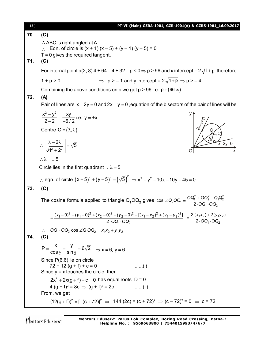| [12] | PT-VI (Main) GZRA-1901, GZR-1901(A) & GZRS-1901_16.09.2017                                                                                             |
|------|--------------------------------------------------------------------------------------------------------------------------------------------------------|
| 70.  | (C)                                                                                                                                                    |
| 71.  | $\triangle$ ABC is right angled at A<br>Eqn. of circle is $(x + 1)(x - 5) + (y - 1)(y - 5) = 0$<br>$T = 0$ gives the required tangent.<br>(C)          |
|      | For internal point $p(2, 8)$ 4 + 64 – 4 + 32 – p < 0 $\Rightarrow$ p > 96 and x intercept = 2 $\sqrt{1+p}$ therefore                                   |
|      | $\Rightarrow$ p > -1 and y intercept = $2\sqrt{4+p}$ $\Rightarrow$ p > -4<br>$1 + p > 0$                                                               |
|      | Combining the above conditions on p we get $p > 96$ i.e. $p \in (96, \infty)$                                                                          |
| 72.  | (A)                                                                                                                                                    |
|      | Pair of lines are $x - 2y = 0$ and $2x - y = 0$ , equation of the bisectors of the pair of lines will be                                               |
|      | $\frac{x^2 - y^2}{2 - 2} = \frac{xy}{-5/2}$ i.e. $y = \pm x$                                                                                           |
|      | Centre $C = (\lambda, \lambda)$                                                                                                                        |
|      | $\therefore \left  \frac{\lambda - 2\lambda}{\sqrt{1^2 + 2^2}} \right  = \sqrt{5}$                                                                     |
|      | $\therefore \lambda = \pm 5$                                                                                                                           |
|      | Circle lies in the first quadrant $\therefore \lambda = 5$                                                                                             |
|      | ∴ eqn. of circle $(x-5)^2 + (y-5)^2 = (\sqrt{5})^2 \Rightarrow x^2 + y^2 - 10x - 10y + 45 = 0$                                                         |
| 73.  | (C)                                                                                                                                                    |
|      | The cosine formula applied to triangle $Q_1OQ_2$ gives $\cos \angle Q_2OQ_1 = \frac{OQ_1^2 + OQ_2^2 - Q_1Q_2^2}{2 \cdot OQ_1 \cdot OQ_2}$              |
|      | $=\frac{(x_1-0)^2+(y_1-0)^2+(x_2-0)^2+(y_2-0)^2-[(x_1-x_2)^2+(y_1-y_2)^2]}{2\cdot OQ_1\cdot OQ_2} = \frac{2(x_1x_2)+2(y_1y_2)}{2\cdot OQ_1\cdot OQ_2}$ |
| 74.  | $\therefore$ OQ <sub>1</sub> OQ <sub>2</sub> cos $\angle$ Q <sub>1</sub> OQ <sub>2</sub> = $x_1x_2 + y_1y_2$<br>(C)                                    |
|      | $P = \frac{x}{\cos \frac{\pi}{4}} = \frac{y}{\sin \frac{\pi}{4}} = 6\sqrt{2} \implies x = 6, y = 6$                                                    |
|      | Since P(6,6) lie on circle<br>$72 + 12 (g + f) + c = 0$<br>$\ldots$ (i)<br>Since $y = x$ touches the circle, then                                      |
|      | $2x^2 + 2x(g + f) + c = 0$ has equal roots $D = 0$                                                                                                     |
|      | 4 $(g + f)^2 = 8c \implies (g + f)^2 = 2c$<br>$\ldots$ (ii)                                                                                            |
|      | From, we get                                                                                                                                           |
|      | $(12(g+f))^2 = [-(c+72)]^2 \implies 144 (2c) = (c+72)^2 \implies (c-72)^2 = 0 \implies c = 72$                                                         |

Mentors<sup>®</sup> Eduserv<sup>®</sup>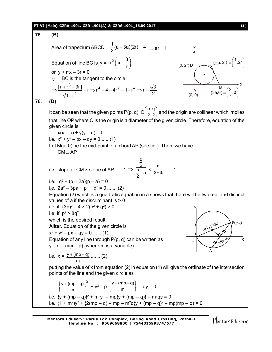## **PT-VI (Main) GZRA-1901, GZR-1901(A) & GZRS-1901\_16.09.2017** [ **13** ]

75. **(B)**  
\nArea of trapezium ABCD = 
$$
\frac{1}{2}(a+3a)(2r) = 4 \Rightarrow ar = 1
$$
  
\nEquation of line BC is  $y = -r^2(x-\frac{3}{r})$   
\nor,  $y + r^2x - 3r = 0$   
\n∴ BC is the tangent to the circle  
\n $\Rightarrow \frac{|r + r^3 - 3r|}{\sqrt{1 + r^4}} = r \Rightarrow r^4 + 4 - 4r^2 = 1 + r^4 \Rightarrow r = \frac{\sqrt{3}}{2}$   
\n76. **(D)**  
\nIt can be seen that the given points P(p, q), C  $(\frac{p}{2}, \frac{q}{2})$  and the origin are collinear which implies  
\nthat line OP where O is the origin is a diameter of the given circle. Therefore, equation of the  
\ngiven circle is  
\n $x(x - p) + y(y - q) = 0$   
\ni.e.  $x^2 + y^2 - px - qy = 0$ .....(1)  
\nLet M(a, 0) be the mid-point of a chord AP (see fig.). Then, we have  
\nCM ∟ AP  
\ni.e. slope of CM × slope of AP = -1  $\Rightarrow \frac{2}{p- a} \times \frac{q}{p-a} = -1$   
\ni.e.  $q^2 + (p-2a)(p-a) = 0$   
\ni.e.  $q^2 + (p-2a)(p-a) = 0$   
\ni.e.  $q^2 + (p-2a)(p-a) = 0$   
\ni.e.  $q^2 + (p-2a)(p-a) = 0$   
\ni.e.  $q^2 + (p-2a)(p-a) = 0$   
\nii.e.  $q^2 + (p-2a)(p-a) = 0$   
\ni.e.  $q^2 + (p-2a)(p-a) = 0$   
\nii.e.  $q^2 + (p-2a)(p-a) = 0$   
\nii.e.  $q^2 + (p-2a)(p-a) = 0$   
\niii.e.  $q^2 + q^2 > 4 \times 2(p^2 + q^2) > 0$   
\niv.e.  $q^2 + q^2 > 4 \times 2(p^2 + q^2) > 0$   
\niv.e.  $q^2 + (p^2 - 4q^2) = 0$   
\niv.e.  $q^2 + (p^2$ 

**Mentors Eduserv: Parus Lok Complex, Boring Road Crossing, Patna-1 Helpline No. : 9569668800 | 7544015993/4/6/7**

Mentors<sup>e</sup> Eduserv<sup>-</sup>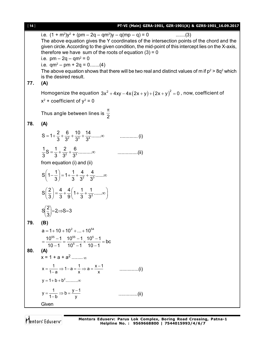| i.e. $(1 + m^2)y^2 + (pm - 2q - qm^2)y - q(mp - q) = 0$<br>$\ldots$ (3)                                                                                         |  |
|-----------------------------------------------------------------------------------------------------------------------------------------------------------------|--|
|                                                                                                                                                                 |  |
| The above equation gives the Y coordinates of the intersection points of the chord and the                                                                      |  |
| given circle. According to the given condition, the mid-point of this intercept lies on the X-axis,<br>therefore we have sum of the roots of equation $(3) = 0$ |  |
| i.e. $pm - 2q - qm^2 = 0$                                                                                                                                       |  |
| i.e. $qm^2 - pm + 2q = 0$ (4)                                                                                                                                   |  |
| The above equation shows that there will be two real and distinct values of m if $p^2 > 8q^2$ which                                                             |  |
| is the desired result.                                                                                                                                          |  |
| 77.<br>(A)                                                                                                                                                      |  |
| Homogenize the equation $3x^2 + 4xy - 4x(2x + y) + (2x + y)^2 = 0$ , now, coefficient of                                                                        |  |
| $x^2$ + coefficient of $y^2$ = 0                                                                                                                                |  |
| Thus angle between lines is $\frac{\pi}{2}$                                                                                                                     |  |
| 78.<br>(A)                                                                                                                                                      |  |
|                                                                                                                                                                 |  |
| $\ldots$ (i)                                                                                                                                                    |  |
| $\dots\dots\dots\dots\dots\dots$ . (ii)                                                                                                                         |  |
|                                                                                                                                                                 |  |
| from equation (i) and (ii)                                                                                                                                      |  |
| $S\left(1-\frac{1}{3}\right)=1+\frac{1}{3}+\frac{4}{3^2}+\frac{4}{3^3}$ $\infty$                                                                                |  |
| $S\left(\frac{2}{3}\right) = \frac{4}{3} + \frac{4}{9}\left(1 + \frac{1}{3} + \frac{1}{3^2} + \dots \infty\right)$                                              |  |
| $S(\frac{2}{3})=2 \Rightarrow S=3$                                                                                                                              |  |
| 79.<br>(B)                                                                                                                                                      |  |
| $a = 1 + 10 + 10^2 +  + 10^{54}$                                                                                                                                |  |
| $=\frac{10^{55}-1}{10-1}=\frac{10^{55}-1}{10^5-1}\times\frac{10^5-1}{10-1}=bc$                                                                                  |  |
|                                                                                                                                                                 |  |
| 80.<br>(A)<br>$x = 1 + a + a^2$ $\infty$                                                                                                                        |  |
|                                                                                                                                                                 |  |
| $x = \frac{1}{1-a} \Rightarrow 1-a = \frac{1}{x} \Rightarrow a = \frac{x-1}{x}$                                                                                 |  |
|                                                                                                                                                                 |  |
| $y = \frac{1}{1-h} \Rightarrow b = \frac{y-1}{v}$<br>(ii)                                                                                                       |  |
| Given                                                                                                                                                           |  |

Mentors<sup>®</sup> Eduserv<sup>®</sup>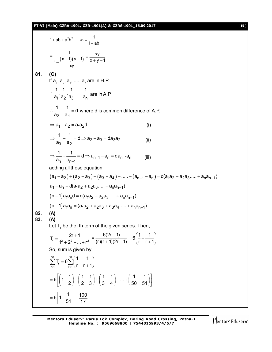# **PT-VI (Main) GZRA-1901, GZR-1901(A) & GZRS-1901\_16.09.2017** [ **15** ]

1 + ab + a<sup>2</sup>b<sup>2</sup>......
$$
\infty
$$
 =  $\frac{1}{1-ab}$   
\n= $\frac{1}{1-(x-1)(y-1)} = \frac{xy}{x+y-1}$   
\n81. (C)  
\nIf a<sub>1</sub>, a<sub>2</sub>, a<sub>3</sub>, ...... a<sub>n</sub> are in H.P.  
\n $\therefore \frac{1}{a_1} \cdot \frac{1}{a_2} \cdot \frac{1}{a_3} \cdot \dots \cdot \frac{1}{a_n}$  are in A.P.  
\n $\therefore \frac{1}{a_2} - \frac{1}{a_1} = d$  where d is common difference of A.P.  
\n $\Rightarrow a_1 - a_2 = a_1a_2d$  (i)  
\n $\Rightarrow \frac{1}{a_3} - \frac{1}{a_2} = d \Rightarrow a_2 - a_3 = da_3a_2$  (ii)  
\n $\Rightarrow \frac{1}{a_n} - \frac{1}{a_{n-1}} = d \Rightarrow a_{n-1} - a_n = da_{n-1}a_n$  (iii)  
\nadding all these equation  
\n $(a_1 - a_2) + (a_2 - a_3) + (a_3 - a_4) + ...... + (a_{n-1} - a_n) = d(a_1a_2 + a_2a_3..... + a_n a_{n-1})$   
\n $a_1 - a_n = d(a_1a_2 + a_2a_3..... + a_n a_{n-1})$   
\n $(n-1)a_1a_n = (a_1a_2 + a_2a_3..... + a_na_{n-1})$   
\n(0, -1)a<sub>1</sub>a<sub>n</sub> =  $(a_1a_2 + a_2a_3..... + a_na_{n-1})$   
\n82. (A)  
\n83. (A)  
\nLet T<sub>r</sub> be the rth term of the given series. Then,  
\n $T_r = \frac{2r+1}{t^2+2^2+....+t^2} = \frac{6(2r+1)}{(r)(r+1)(2r+1)} = 6(\frac{1}{r} - \frac{1}{r+1})$   
\nSo, sum is given by  
\n $\sum_{r=1}^{60} T_r = 6 \sum_{r=1}^{60} (\frac{1}{r} - \frac{1}{r+1})$   
\n $= 6[1-\frac{1$ 

Mentors<sup>e</sup> Eduserv<sup>-</sup>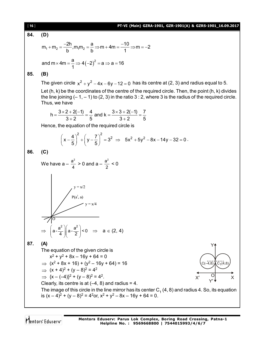[ **16** ] **PT-VI (Main) GZRA-1901, GZR-1901(A) & GZRS-1901\_16.09.2017 84. (D)** 1 2 1 2 2h a 10 m m ,m m m 4m m 2 b b 1 a <sup>2</sup> and m 4m 4 2 a a 16 1 **85. (B)** The given circle 2 2 x y 4x 6y 12 0 has its centre at (2, 3) and radius equal to 5. Let (h, k) be the coordinates of the centre of the required circle. Then, the point (h, k) divides the line joining (– 1, – 1) to (2, 3) in the ratio 3 : 2, where 3 is the radius of the required circle. Thus, we have 3 2 2( 1) 4 3 3 2( 1) 7 h and k 3 2 5 3 2 5 Hence, the equation of the required circle is 2 2 4 7 <sup>2</sup> x y 3 5 5 2 2 5x 5y 8x 14y 32 0 . **86. (C)** We have a – 2 a 4 > 0 and a – 2 a 2 < 0 2 2 a a a- a - < 0 4 2 a (2, 4) **87. (A)** The equation of the given circle is x 2 + y<sup>2</sup> + 8x – 16y + 64 = 0 (x<sup>2</sup> + 8x + 16) + (y<sup>2</sup> – 16y + 64) = 16 Y X' Y' X O C(–4,8) C (4,8) 1 (x + 4)<sup>2</sup> + (y – 8)<sup>2</sup> = 4<sup>2</sup> {x – (–4)}<sup>2</sup> + (y – 8)<sup>2</sup> = 4<sup>2</sup> . Clearly, its centre is at (–4, 8) and radius = 4. The image of this circle in the line mirror has its center C<sup>1</sup> (4, 8) and radius 4. So, its equation is (x – 4)<sup>2</sup> + (y – 8)<sup>2</sup> = 4<sup>2</sup>or, x<sup>2</sup> + y<sup>2</sup> – 8x – 16y + 64 = 0.

Mentors<sup>®</sup> Eduserv<sup>®</sup>

**Mentors Eduserv: Parus Lok Complex, Boring Road Crossing, Patna-1 Helpline No. : 9569668800 | 7544015993/4/6/7**